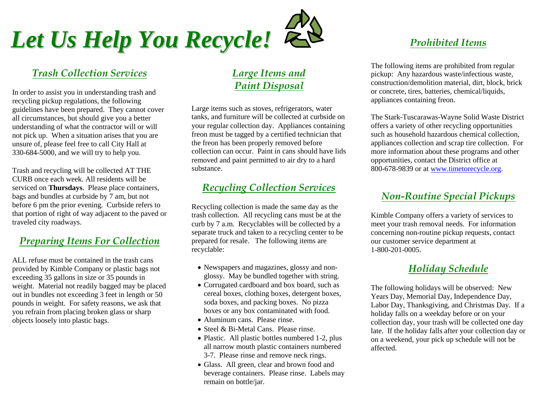

# *Trash Collection Services*

In order to assist you in understanding trash and recycling pickup regulations, the following guidelines have been prepared. They cannot cover all circumstances, but should give you a better understanding of what the contractor will or will not pick up. When a situation arises that you are unsure of, please feel free to call City Hall at 330-684-5000, and we will try to help you.

Trash and recycling will be collected AT THE CURB once each week. All residents will be serviced on **Thursdays**. Please place containers, bags and bundles at curbside by 7 am, but not before 6 pm the prior evening. Curbside refers to that portion of right of way adjacent to the paved or traveled city roadways.

#### *Preparing Items For Collection*

ALL refuse must be contained in the trash cans provided by Kimble Company or plastic bags not exceeding 35 gallons in size or 35 pounds in weight. Material not readily bagged may be placed out in bundles not exceeding 3 feet in length or 50 pounds in weight. For safety reasons, we ask that you refrain from placing broken glass or sharp objects loosely into plastic bags.

# *Large Items and Paint Disposal*

Large items such as stoves, refrigerators, water tanks, and furniture will be collected at curbside on your regular collection day. Appliances containing freon must be tagged by a certified technician that the freon has been properly removed before collection can occur. Paint in cans should have lids removed and paint permitted to air dry to a hard substance.

# *Recycling Collection Services*

Recycling collection is made the same day as the trash collection. All recycling cans must be at the curb by 7 a.m. Recyclables will be collected by a separate truck and taken to a recycling center to be prepared for resale. The following items are recyclable:

- Newspapers and magazines, glossy and nonglossy. May be bundled together with string.
- Corrugated cardboard and box board, such as cereal boxes, clothing boxes, detergent boxes, soda boxes, and packing boxes. No pizza boxes or any box contaminated with food.
- Aluminum cans. Please rinse.
- Steel & Bi-Metal Cans. Please rinse.
- Plastic. All plastic bottles numbered 1-2, plus all narrow mouth plastic containers numbered 3-7. Please rinse and remove neck rings.
- Glass. All green, clear and brown food and beverage containers. Please rinse. Labels may remain on bottle/jar.

# *Prohibited Items*

The following items are prohibited from regular pickup: Any hazardous waste/infectious waste, construction/demolition material, dirt, block, brick or concrete, tires, batteries, chemical/liquids, appliances containing freon.

The Stark-Tuscarawas-Wayne Solid Waste District offers a variety of other recycling opportunities such as household hazardous chemical collection, appliances collection and scrap tire collection. For more information about these programs and other opportunities, contact the District office at 800-678-9839 or a[t www.timetorecycle.org.](http://www.timetorecycle.org/)

#### *Non-Routine Special Pickups*

Kimble Company offers a variety of services to meet your trash removal needs. For information concerning non-routine pickup requests, contact our customer service department at 1-800-201-0005.

### *Holiday Schedule*

The following holidays will be observed: New Years Day, Memorial Day, Independence Day, Labor Day, Thanksgiving, and Christmas Day. If a holiday falls on a weekday before or on your collection day, your trash will be collected one day late. If the holiday falls after your collection day or on a weekend, your pick up schedule will not be affected.